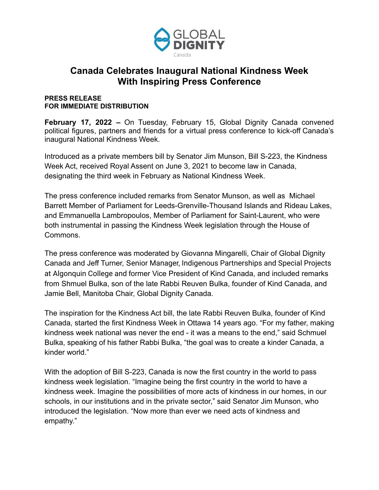

## **Canada Celebrates Inaugural National Kindness Week With Inspiring Press Conference**

## **PRESS RELEASE FOR IMMEDIATE DISTRIBUTION**

**February 17, 2022 –** On Tuesday, February 15, Global Dignity Canada convened political figures, partners and friends for a virtual press conference to kick-off Canada's inaugural National Kindness Week.

Introduced as a private members bill by Senator Jim Munson, Bill S-223, the Kindness Week Act, received Royal Assent on June 3, 2021 to become law in Canada, designating the third week in February as National Kindness Week.

The press conference included remarks from Senator Munson, as well as Michael Barrett Member of Parliament for Leeds-Grenville-Thousand Islands and Rideau Lakes, and Emmanuella Lambropoulos, Member of Parliament for Saint-Laurent, who were both instrumental in passing the Kindness Week legislation through the House of Commons.

The press conference was moderated by Giovanna Mingarelli, Chair of Global Dignity Canada and Jeff Turner, Senior Manager, Indigenous Partnerships and Special Projects at Algonquin College and former Vice President of Kind Canada, and included remarks from Shmuel Bulka, son of the late Rabbi Reuven Bulka, founder of Kind Canada, and Jamie Bell, Manitoba Chair, Global Dignity Canada.

The inspiration for the Kindness Act bill, the late Rabbi Reuven Bulka, founder of Kind Canada, started the first Kindness Week in Ottawa 14 years ago. "For my father, making kindness week national was never the end - it was a means to the end," said Schmuel Bulka, speaking of his father Rabbi Bulka, "the goal was to create a kinder Canada, a kinder world."

With the adoption of Bill S-223, Canada is now the first country in the world to pass kindness week legislation. "Imagine being the first country in the world to have a kindness week. Imagine the possibilities of more acts of kindness in our homes, in our schools, in our institutions and in the private sector," said Senator Jim Munson, who introduced the legislation. "Now more than ever we need acts of kindness and empathy."